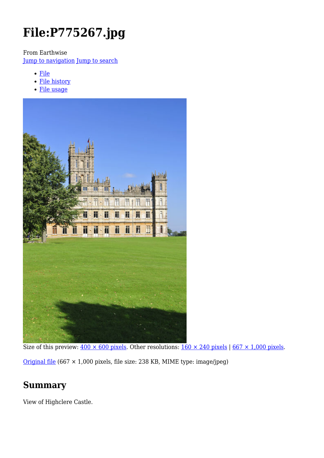# **File:P775267.jpg**

From Earthwise

[Jump to navigation](#page--1-0) [Jump to search](#page--1-0)

- [File](#page--1-0)
- [File history](#page--1-0)
- [File usage](#page--1-0)



Size of this preview:  $400 \times 600$  pixels. Other resolutions:  $160 \times 240$  pixels | 667  $\times$  1,000 pixels. [Original file](http://earthwise.bgs.ac.uk/images/3/34/P775267.jpg) (667 × 1,000 pixels, file size: 238 KB, MIME type: image/jpeg)

### **Summary**

View of Highclere Castle.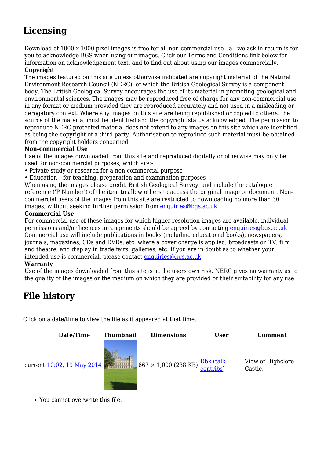# **Licensing**

Download of 1000 x 1000 pixel images is free for all non-commercial use - all we ask in return is for you to acknowledge BGS when using our images. Click our Terms and Conditions link below for information on acknowledgement text, and to find out about using our images commercially.

#### **Copyright**

The images featured on this site unless otherwise indicated are copyright material of the Natural Environment Research Council (NERC), of which the British Geological Survey is a component body. The British Geological Survey encourages the use of its material in promoting geological and environmental sciences. The images may be reproduced free of charge for any non-commercial use in any format or medium provided they are reproduced accurately and not used in a misleading or derogatory context. Where any images on this site are being republished or copied to others, the source of the material must be identified and the copyright status acknowledged. The permission to reproduce NERC protected material does not extend to any images on this site which are identified as being the copyright of a third party. Authorisation to reproduce such material must be obtained from the copyright holders concerned.

#### **Non-commercial Use**

Use of the images downloaded from this site and reproduced digitally or otherwise may only be used for non-commercial purposes, which are:-

- Private study or research for a non-commercial purpose
- Education for teaching, preparation and examination purposes

When using the images please credit 'British Geological Survey' and include the catalogue reference ('P Number') of the item to allow others to access the original image or document. Noncommercial users of the images from this site are restricted to downloading no more than 30 images, without seeking further permission from [enquiries@bgs.ac.uk](mailto:enquiries@bgs.ac.uk)

#### **Commercial Use**

For commercial use of these images for which higher resolution images are available, individual permissions and/or licences arrangements should be agreed by contacting [enquiries@bgs.ac.uk](mailto:enquiries@bgs.ac.uk) Commercial use will include publications in books (including educational books), newspapers, journals, magazines, CDs and DVDs, etc, where a cover charge is applied; broadcasts on TV, film and theatre; and display in trade fairs, galleries, etc. If you are in doubt as to whether your intended use is commercial, please contact [enquiries@bgs.ac.uk](mailto:enquiries@bgs.ac.uk)

#### **Warranty**

Use of the images downloaded from this site is at the users own risk. NERC gives no warranty as to the quality of the images or the medium on which they are provided or their suitability for any use.

# **File history**

Click on a date/time to view the file as it appeared at that time.



You cannot overwrite this file.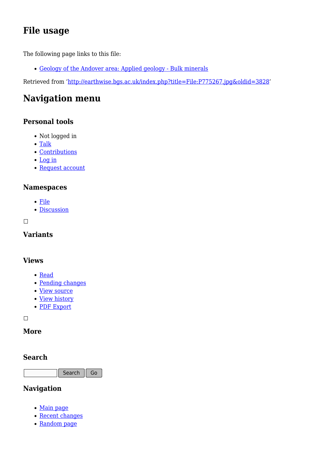# **File usage**

The following page links to this file:

[Geology of the Andover area: Applied geology - Bulk minerals](http://earthwise.bgs.ac.uk/index.php/Geology_of_the_Andover_area:_Applied_geology_-_Bulk_minerals)

Retrieved from ['http://earthwise.bgs.ac.uk/index.php?title=File:P775267.jpg&oldid=3828](http://earthwise.bgs.ac.uk/index.php?title=File:P775267.jpg&oldid=3828)'

# **Navigation menu**

### **Personal tools**

- Not logged in
- [Talk](http://earthwise.bgs.ac.uk/index.php/Special:MyTalk)
- [Contributions](http://earthwise.bgs.ac.uk/index.php/Special:MyContributions)
- [Log in](http://earthwise.bgs.ac.uk/index.php?title=Special:UserLogin&returnto=File%3AP775267.jpg&returntoquery=action%3Dmpdf)
- [Request account](http://earthwise.bgs.ac.uk/index.php/Special:RequestAccount)

### **Namespaces**

- [File](http://earthwise.bgs.ac.uk/index.php/File:P775267.jpg)
- [Discussion](http://earthwise.bgs.ac.uk/index.php?title=File_talk:P775267.jpg&action=edit&redlink=1)

 $\Box$ 

### **Variants**

### **Views**

- [Read](http://earthwise.bgs.ac.uk/index.php?title=File:P775267.jpg&stable=1)
- [Pending changes](http://earthwise.bgs.ac.uk/index.php?title=File:P775267.jpg&stable=0&redirect=no)
- [View source](http://earthwise.bgs.ac.uk/index.php?title=File:P775267.jpg&action=edit)
- [View history](http://earthwise.bgs.ac.uk/index.php?title=File:P775267.jpg&action=history)
- [PDF Export](http://earthwise.bgs.ac.uk/index.php?title=File:P775267.jpg&action=mpdf)

 $\Box$ 

### **More**

### **Search**

Search Go

### **Navigation**

- [Main page](http://earthwise.bgs.ac.uk/index.php/Main_Page)
- [Recent changes](http://earthwise.bgs.ac.uk/index.php/Special:RecentChanges)
- [Random page](http://earthwise.bgs.ac.uk/index.php/Special:Random)